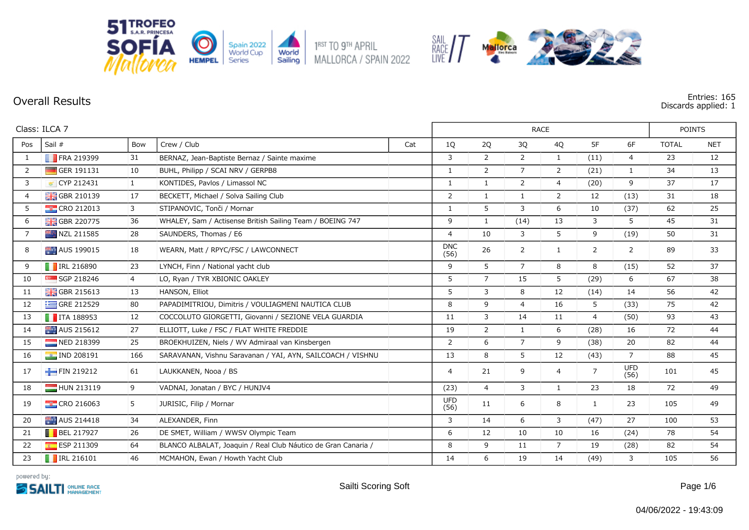

## **Overall Results Entries: 165**

**Discards applied: 1**

|                | Class: ILCA 7             |                |                                                               |     |                    |                |                | <b>RACE</b>    |                |                    | <b>POINTS</b> |            |
|----------------|---------------------------|----------------|---------------------------------------------------------------|-----|--------------------|----------------|----------------|----------------|----------------|--------------------|---------------|------------|
| Pos            | Sail #                    | Bow            | Crew / Club                                                   | Cat | 1Q                 | 2Q             | 3Q             | 4Q             | 5F             | 6F                 | <b>TOTAL</b>  | <b>NET</b> |
| $\mathbf{1}$   | $\blacksquare$ FRA 219399 | 31             | BERNAZ, Jean-Baptiste Bernaz / Sainte maxime                  |     | 3                  | $\overline{2}$ | $\overline{2}$ | 1              | (11)           | $\overline{4}$     | 23            | 12         |
| $\overline{2}$ | GER 191131                | 10             | BUHL, Philipp / SCAI NRV / GERPB8                             |     | $\mathbf{1}$       | $\overline{2}$ | $\overline{7}$ | 2              | (21)           | $\mathbf{1}$       | 34            | 13         |
| 3              | CYP 212431                | $\mathbf{1}$   | KONTIDES, Pavlos / Limassol NC                                |     | $\mathbf{1}$       | $\mathbf{1}$   | $\overline{2}$ | $\overline{4}$ | (20)           | 9                  | 37            | 17         |
| $\overline{4}$ | <b>H</b> GBR 210139       | 17             | BECKETT, Michael / Solva Sailing Club                         |     | 2                  | $\mathbf{1}$   | $\mathbf{1}$   | $\overline{2}$ | 12             | (13)               | 31            | 18         |
| 5              | $\sim$ CRO 212013         | 3              | STIPANOVIC, Tonči / Mornar                                    |     | 1                  | 5              | 3              | 6              | 10             | (37)               | 62            | 25         |
| 6              | GBR 220775                | 36             | WHALEY, Sam / Actisense British Sailing Team / BOEING 747     |     | 9                  | $\mathbf{1}$   | (14)           | 13             | 3              | 5                  | 45            | 31         |
| $\overline{7}$ | NZL 211585                | 28             | SAUNDERS, Thomas / E6                                         |     | $\overline{4}$     | 10             | 3              | 5              | 9              | (19)               | 50            | 31         |
| 8              | AUS 199015                | 18             | WEARN, Matt / RPYC/FSC / LAWCONNECT                           |     | <b>DNC</b><br>(56) | 26             | $\overline{2}$ | 1              | $\overline{2}$ | $\overline{2}$     | 89            | 33         |
| 9              | <b>F</b> IRL 216890       | 23             | LYNCH, Finn / National yacht club                             |     | 9                  | 5              | $\overline{7}$ | 8              | 8              | (15)               | 52            | 37         |
| 10             | SGP 218246                | $\overline{4}$ | LO, Ryan / TYR XBIONIC OAKLEY                                 |     | 5                  | $\overline{7}$ | 15             | 5              | (29)           | 6                  | 67            | 38         |
| 11             | <b>H</b> GBR 215613       | 13             | HANSON, Elliot                                                |     | 5                  | 3              | 8              | 12             | (14)           | 14                 | 56            | 42         |
| 12             | GRE 212529                | 80             | PAPADIMITRIOU, Dimitris / VOULIAGMENI NAUTICA CLUB            |     | 8                  | 9              | $\overline{4}$ | 16             | 5              | (33)               | 75            | 42         |
| 13             | $\blacksquare$ ITA 188953 | 12             | COCCOLUTO GIORGETTI, Giovanni / SEZIONE VELA GUARDIA          |     | 11                 | 3              | 14             | 11             | $\overline{4}$ | (50)               | 93            | 43         |
| 14             | AUS 215612                | 27             | ELLIOTT, Luke / FSC / FLAT WHITE FREDDIE                      |     | 19                 | $\overline{2}$ | $\mathbf{1}$   | 6              | (28)           | 16                 | 72            | 44         |
| 15             | NED 218399                | 25             | BROEKHUIZEN, Niels / WV Admiraal van Kinsbergen               |     | 2                  | 6              | $\overline{7}$ | 9              | (38)           | 20                 | 82            | 44         |
| 16             | <b>a</b> IND 208191       | 166            | SARAVANAN, Vishnu Saravanan / YAI, AYN, SAILCOACH / VISHNU    |     | 13                 | 8              | 5              | 12             | (43)           | $\overline{7}$     | 88            | 45         |
| 17             | FIN 219212                | 61             | LAUKKANEN, Nooa / BS                                          |     | 4                  | 21             | 9              | $\overline{4}$ | $\overline{7}$ | <b>UFD</b><br>(56) | 101           | 45         |
| 18             | HUN 213119                | 9              | VADNAI, Jonatan / BYC / HUNJV4                                |     | (23)               | $\overline{4}$ | 3              | 1              | 23             | 18                 | 72            | 49         |
| 19             | <b>EXECRO 216063</b>      | 5              | JURISIC, Filip / Mornar                                       |     | <b>UFD</b><br>(56) | 11             | 6              | 8              | 1              | 23                 | 105           | 49         |
| 20             | AUS 214418                | 34             | ALEXANDER, Finn                                               |     | 3                  | 14             | 6              | 3              | (47)           | 27                 | 100           | 53         |
| 21             | $\blacksquare$ BEL 217927 | 26             | DE SMET, William / WWSV Olympic Team                          |     | 6                  | 12             | 10             | 10             | 16             | (24)               | 78            | 54         |
| 22             | ESP 211309                | 64             | BLANCO ALBALAT, Joaquin / Real Club Náutico de Gran Canaria / |     | 8                  | 9              | 11             | $\overline{7}$ | 19             | (28)               | 82            | 54         |
| 23             | $\blacksquare$ IRL 216101 | 46             | MCMAHON, Ewan / Howth Yacht Club                              |     | 14                 | 6              | 19             | 14             | (49)           | 3                  | 105           | 56         |

SAIL<br>RACE / /

Mallorca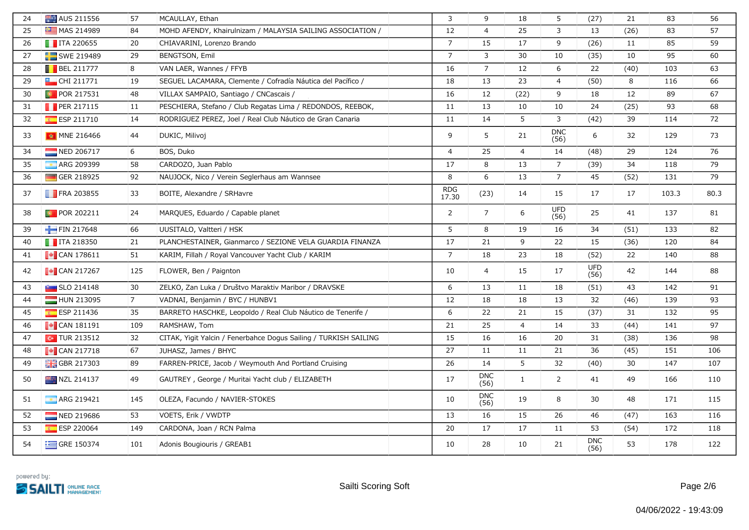| 24 | AUS 211556                | 57          | MCAULLAY, Ethan                                                  | $\overline{3}$      | 9                  | 18             | 5                  | (27)               | 21   | 83    | 56   |
|----|---------------------------|-------------|------------------------------------------------------------------|---------------------|--------------------|----------------|--------------------|--------------------|------|-------|------|
| 25 | MAS 214989                | 84          | MOHD AFENDY, Khairulnizam / MALAYSIA SAILING ASSOCIATION /       | 12                  | $\overline{4}$     | 25             | 3                  | 13                 | (26) | 83    | 57   |
| 26 | $\blacksquare$ ITA 220655 | 20          | CHIAVARINI, Lorenzo Brando                                       | $\overline{7}$      | 15                 | 17             | 9                  | (26)               | 11   | 85    | 59   |
| 27 | SWE 219489                | 29          | BENGTSON, Emil                                                   | $\overline{7}$      | 3                  | 30             | 10                 | (35)               | 10   | 95    | 60   |
| 28 | $\blacksquare$ BEL 211777 | 8           | VAN LAER, Wannes / FFYB                                          | 16                  | $\overline{7}$     | 12             | 6                  | 22                 | (40) | 103   | 63   |
| 29 | $\Box$ CHI 211771         | 19          | SEGUEL LACAMARA, Clemente / Cofradía Náutica del Pacífico /      | 18                  | 13                 | 23             | 4                  | (50)               | 8    | 116   | 66   |
| 30 | <b>D</b> POR 217531       | 48          | VILLAX SAMPAIO, Santiago / CNCascais /                           | 16                  | 12                 | (22)           | 9                  | 18                 | 12   | 89    | 67   |
| 31 | <b>PER 217115</b>         | 11          | PESCHIERA, Stefano / Club Regatas Lima / REDONDOS, REEBOK,       | 11                  | 13                 | 10             | 10                 | 24                 | (25) | 93    | 68   |
| 32 | <b>ESP 211710</b>         | 14          | RODRIGUEZ PEREZ, Joel / Real Club Náutico de Gran Canaria        | 11                  | 14                 | 5              | 3                  | (42)               | 39   | 114   | 72   |
| 33 | <b>M</b> MNE 216466       | 44          | DUKIC, Milivoj                                                   | 9                   | 5                  | 21             | <b>DNC</b><br>(56) | 6                  | 32   | 129   | 73   |
| 34 | NED 206717                | 6           | BOS, Duko                                                        | $\overline{4}$      | 25                 | $\overline{4}$ | 14                 | (48)               | 29   | 124   | 76   |
| 35 | ARG 209399                | 58          | CARDOZO, Juan Pablo                                              | 17                  | 8                  | 13             | $\overline{7}$     | (39)               | 34   | 118   | 79   |
| 36 | GER 218925                | 92          | NAUJOCK, Nico / Verein Seglerhaus am Wannsee                     | 8                   | 6                  | 13             | $\overline{7}$     | 45                 | (52) | 131   | 79   |
| 37 | <b>FRA 203855</b>         | 33          | BOITE, Alexandre / SRHavre                                       | <b>RDG</b><br>17.30 | (23)               | 14             | 15                 | 17                 | 17   | 103.3 | 80.3 |
| 38 | <b>POR 202211</b>         | 24          | MARQUES, Eduardo / Capable planet                                | $\overline{2}$      | $\overline{7}$     | 6              | <b>UFD</b><br>(56) | 25                 | 41   | 137   | 81   |
| 39 | FIN 217648                | 66          | UUSITALO, Valtteri / HSK                                         | 5                   | 8                  | 19             | 16                 | 34                 | (51) | 133   | 82   |
| 40 | $\blacksquare$ ITA 218350 | 21          | PLANCHESTAINER, Gianmarco / SEZIONE VELA GUARDIA FINANZA         | 17                  | 21                 | 9              | 22                 | 15                 | (36) | 120   | 84   |
| 41 | $\blacksquare$ CAN 178611 | 51          | KARIM, Fillah / Royal Vancouver Yacht Club / KARIM               | $\overline{7}$      | 18                 | 23             | 18                 | (52)               | 22   | 140   | 88   |
| 42 | $\sim$ CAN 217267         | 125         | FLOWER, Ben / Paignton                                           | 10                  | $\overline{4}$     | 15             | 17                 | <b>UFD</b><br>(56) | 42   | 144   | 88   |
| 43 | <b>Extract SLO 214148</b> | 30          | ZELKO, Zan Luka / Društvo Maraktiv Maribor / DRAVSKE             | 6                   | 13                 | 11             | 18                 | (51)               | 43   | 142   | 91   |
| 44 | HUN 213095                | $7^{\circ}$ | VADNAI, Benjamin / BYC / HUNBV1                                  | 12                  | 18                 | 18             | 13                 | 32                 | (46) | 139   | 93   |
| 45 | ESP 211436                | 35          | BARRETO HASCHKE, Leopoldo / Real Club Náutico de Tenerife /      | 6                   | 22                 | 21             | 15                 | (37)               | 31   | 132   | 95   |
| 46 | $\blacksquare$ CAN 181191 | 109         | RAMSHAW, Tom                                                     | 21                  | 25                 | $\overline{4}$ | 14                 | 33                 | (44) | 141   | 97   |
| 47 | $\sim$ TUR 213512         | 32          | CITAK, Yigit Yalcin / Fenerbahce Dogus Sailing / TURKISH SAILING | 15                  | 16                 | 16             | 20                 | 31                 | (38) | 136   | 98   |
| 48 | $\blacksquare$ CAN 217718 | 67          | JUHASZ, James / BHYC                                             | 27                  | 11                 | 11             | 21                 | 36                 | (45) | 151   | 106  |
| 49 | <b>H</b> GBR 217303       | 89          | FARREN-PRICE, Jacob / Weymouth And Portland Cruising             | 26                  | 14                 | 5              | 32                 | (40)               | 30   | 147   | 107  |
| 50 | <b>NZL 214137</b>         | 49          | GAUTREY, George / Muritai Yacht club / ELIZABETH                 | 17                  | <b>DNC</b><br>(56) | $\mathbf{1}$   | $\overline{2}$     | 41                 | 49   | 166   | 110  |
| 51 | ARG 219421                | 145         | OLEZA, Facundo / NAVIER-STOKES                                   | 10                  | <b>DNC</b><br>(56) | 19             | 8                  | 30                 | 48   | 171   | 115  |
| 52 | NED 219686                | 53          | VOETS, Erik / VWDTP                                              | 13                  | 16                 | 15             | 26                 | 46                 | (47) | 163   | 116  |
| 53 | <b>ESP 220064</b>         | 149         | CARDONA, Joan / RCN Palma                                        | 20                  | 17                 | 17             | 11                 | 53                 | (54) | 172   | 118  |
| 54 | $\equiv$ GRE 150374       | 101         | Adonis Bougiouris / GREAB1                                       | 10                  | 28                 | 10             | 21                 | <b>DNC</b><br>(56) | 53   | 178   | 122  |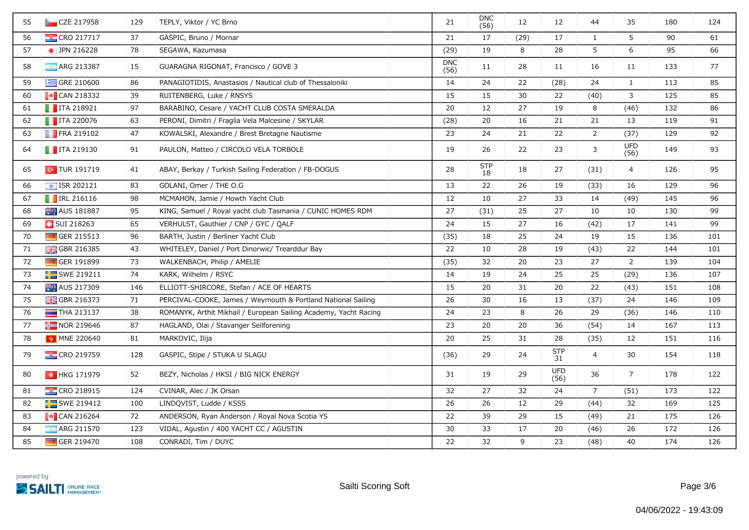| 55 | $\sim$ CZE 217958         | 129 | TEPLY, Viktor / YC Brno                                          | 21                 | <b>DNC</b><br>(56) | 12   | 12                 | 44             | 35                 | 180 | 124 |
|----|---------------------------|-----|------------------------------------------------------------------|--------------------|--------------------|------|--------------------|----------------|--------------------|-----|-----|
| 56 | <b>CRO 217717</b>         | 37  | GASPIC, Bruno / Mornar                                           | 21                 | 17                 | (29) | 17                 | $\mathbf{1}$   | 5                  | 90  | 61  |
| 57 | • JPN 216228              | 78  | SEGAWA, Kazumasa                                                 | (29)               | 19                 | 8    | 28                 | 5              | 6                  | 95  | 66  |
| 58 | <b>ARG 213387</b>         | 15  | GUARAGNA RIGONAT, Francisco / GOVE 3                             | <b>DNC</b><br>(56) | 11                 | 28   | 11                 | 16             | 11                 | 133 | 77  |
| 59 | GRE 210600                | 86  | PANAGIOTIDIS, Anastasios / Nautical club of Thessaloniki         | 14                 | 24                 | 22   | (28)               | 24             | $\mathbf{1}$       | 113 | 85  |
| 60 | $\blacksquare$ CAN 218332 | 39  | RUITENBERG, Luke / RNSYS                                         | 15                 | 15                 | 30   | 22                 | (40)           | 3                  | 125 | 85  |
| 61 | $\blacksquare$ ITA 218921 | 97  | BARABINO, Cesare / YACHT CLUB COSTA SMERALDA                     | 20                 | 12                 | 27   | 19                 | 8              | (46)               | 132 | 86  |
| 62 | $\blacksquare$ ITA 220076 | 63  | PERONI, Dimitri / Fraglia Vela Malcesine / SKYLAR                | (28)               | 20                 | 16   | 21                 | 21             | 13                 | 119 | 91  |
| 63 | <b>FRA 219102</b>         | 47  | KOWALSKI, Alexandre / Brest Bretagne Nautisme                    | 23                 | 24                 | 21   | 22                 | $\overline{2}$ | (37)               | 129 | 92  |
| 64 | $\blacksquare$ ITA 219130 | 91  | PAULON, Matteo / CIRCOLO VELA TORBOLE                            | 19                 | 26                 | 22   | 23                 | 3              | <b>UFD</b><br>(56) | 149 | 93  |
| 65 | $\sim$ TUR 191719         | 41  | ABAY, Berkay / Turkish Sailing Federation / FB-DOGUS             | 28                 | <b>STP</b><br>18   | 18   | 27                 | (31)           | $\overline{4}$     | 126 | 95  |
| 66 | $\sqrt{121}$ ISR 202121   | 83  | GOLANI, Omer / THE O.G                                           | 13                 | 22                 | 26   | 19                 | (33)           | 16                 | 129 | 96  |
| 67 | $\blacksquare$ IRL 216116 | 98  | MCMAHON, Jamie / Howth Yacht Club                                | 12                 | 10                 | 27   | 33                 | 14             | (49)               | 145 | 96  |
| 68 | AUS 181887                | 95  | KING, Samuel / Royal yacht club Tasmania / CUNIC HOMES RDM       | 27                 | (31)               | 25   | 27                 | 10             | 10                 | 130 | 99  |
| 69 | <b>B</b> SUI 218263       | 65  | VERHULST, Gauthier / CNP / GYC / QALF                            | 24                 | 15                 | 27   | 16                 | (42)           | 17                 | 141 | 99  |
| 70 | $\Box$ GER 215513         | 96  | BARTH, Justin / Berliner Yacht Club                              | (35)               | 18                 | 25   | 24                 | 19             | 15                 | 136 | 101 |
| 71 | <b>H</b> GBR 216385       | 43  | WHITELEY, Daniel / Port Dinorwic/ Trearddur Bay                  | 22                 | 10                 | 28   | 19                 | (43)           | 22                 | 144 | 101 |
| 72 | $\Box$ GER 191899         | 73  | WALKENBACH, Philip / AMELIE                                      | (35)               | 32                 | 20   | 23                 | 27             | $\overline{2}$     | 139 | 104 |
| 73 | SWE 219211                | 74  | KARK, Wilhelm / RSYC                                             | 14                 | 19                 | 24   | 25                 | 25             | (29)               | 136 | 107 |
| 74 | AUS 217309                | 146 | ELLIOTT-SHIRCORE, Stefan / ACE OF HEARTS                         | 15                 | 20                 | 31   | 20                 | 22             | (43)               | 151 | 108 |
| 75 | GBR 216373                | 71  | PERCIVAL-COOKE, James / Weymouth & Portland National Sailing     | 26                 | 30                 | 16   | 13                 | (37)           | 24                 | 146 | 109 |
| 76 | $\blacksquare$ THA 213137 | 38  | ROMANYK, Arthit Mikhail / European Sailing Academy, Yacht Racing | 24                 | 23                 | 8    | 26                 | 29             | (36)               | 146 | 110 |
| 77 | NOR 219646                | 87  | HAGLAND, Olai / Stavanger Seilforening                           | 23                 | 20                 | 20   | 36                 | (54)           | 14                 | 167 | 113 |
| 78 | MNE 220640                | 81  | MARKOVIC, Ilija                                                  | 20                 | 25                 | 31   | 28                 | (35)           | 12                 | 151 | 116 |
| 79 | <b>CRO 219759</b>         | 128 | GASPIC, Stipe / STUKA U SLAGU                                    | (36)               | 29                 | 24   | <b>STP</b><br>31   | 4              | 30                 | 154 | 118 |
| 80 | <b>M</b> HKG 171979       | 52  | BEZY, Nicholas / HKSI / BIG NICK ENERGY                          | 31                 | 19                 | 29   | <b>UFD</b><br>(56) | 36             | $\overline{7}$     | 178 | 122 |
| 81 | <b>EX</b> CRO 218915      | 124 | CVINAR, Alec / JK Orsan                                          | 32                 | 27                 | 32   | 24                 | $\overline{7}$ | (51)               | 173 | 122 |
| 82 | SWE 219412                | 100 | LINDQVIST, Ludde / KSSS                                          | 26                 | 26                 | 12   | 29                 | (44)           | 32                 | 169 | 125 |
| 83 | $\blacksquare$ CAN 216264 | 72  | ANDERSON, Ryan Anderson / Royal Nova Scotia YS                   | 22                 | 39                 | 29   | 15                 | (49)           | 21                 | 175 | 126 |
| 84 | <b>ARG 211570</b>         | 123 | VIDAL, Agustin / 400 YACHT CC / AGUSTIN                          | 30                 | 33                 | 17   | 20                 | (46)           | 26                 | 172 | 126 |
| 85 | GER 219470                | 108 | CONRADI, Tim / DUYC                                              | 22                 | 32                 | 9    | 23                 | (48)           | 40                 | 174 | 126 |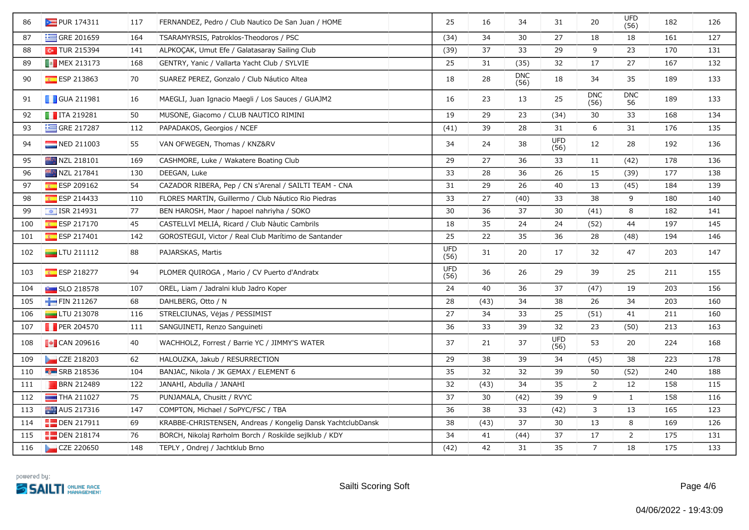| <b>E</b> GRE 201659<br>34<br>27<br>127<br>87<br>164<br>TSARAMYRSIS, Patroklos-Theodoros / PSC<br>(34)<br>30<br>18<br>18<br>161<br>$\sim$ TUR 215394<br>37<br>23<br>141<br>ALPKOCAK, Umut Efe / Galatasaray Sailing Club<br>(39)<br>33<br>29<br>9<br>170<br>131<br>88<br>27<br><b>B</b> MEX 213173<br>31<br>(35)<br>32<br>17<br>167<br>132<br>168<br>GENTRY, Yanic / Vallarta Yacht Club / SYLVIE<br>25<br>89<br><b>DNC</b><br>ESP 213863<br>70<br>SUAREZ PEREZ, Gonzalo / Club Náutico Altea<br>28<br>34<br>35<br>90<br>18<br>18<br>189<br>133<br>(56)<br><b>DNC</b><br><b>DNC</b><br><b>GUA 211981</b><br>23<br>25<br>189<br>133<br>91<br>16<br>MAEGLI, Juan Ignacio Maegli / Los Sauces / GUAJM2<br>16<br>13<br>(56)<br>56<br>$\blacksquare$ ITA 219281<br>50<br>MUSONE, Giacomo / CLUB NAUTICO RIMINI<br>19<br>29<br>23<br>30<br>33<br>134<br>92<br>(34)<br>168<br>GRE 217287<br>39<br>6<br>31<br>93<br>112<br>PAPADAKOS, Georgios / NCEF<br>(41)<br>28<br>31<br>176<br>135<br><b>UFD</b><br>28<br>94<br>NED 211003<br>55<br>34<br>24<br>38<br>12<br>192<br>136<br>VAN OFWEGEN, Thomas / KNZ&RV<br>(56)<br>NZL 218101<br>29<br>27<br>36<br>33<br>11<br>(42)<br>178<br>136<br>95<br>169<br>CASHMORE, Luke / Wakatere Boating Club<br>26<br>NZL 217841<br>33<br>28<br>36<br>15<br>177<br>96<br>130<br>DEEGAN, Luke<br>(39)<br>138<br>ESP 209162<br>54<br>31<br>29<br>26<br>13<br>97<br>CAZADOR RIBERA, Pep / CN s'Arenal / SAILTI TEAM - CNA<br>40<br>(45)<br>184<br>139<br>ESP 214433<br>27<br>38<br>9<br>98<br>110<br>FLORES MARTIN, Guillermo / Club Náutico Rio Piedras<br>33<br>(40)<br>33<br>180<br>140<br>77<br>30<br>36<br>37<br>30<br>8<br>182<br>99<br>$\frac{1}{2}$ ISR 214931<br>BEN HAROSH, Maor / hapoel nahriyha / SOKO<br>(41)<br>141<br>$E = ESP 217170$<br>45<br>CASTELLVI MELIA, Ricard / Club Nàutic Cambrils<br>35<br>24<br>145<br>100<br>18<br>24<br>(52)<br>44<br>197<br>25<br>22<br>ESP 217401<br>35<br>36<br>28<br>142<br>GOROSTEGUI, Victor / Real Club Marítimo de Santander<br>(48)<br>194<br>146<br>101<br><b>UFD</b><br>88<br>102<br>$\Box$ LTU 211112<br>31<br>20<br>17<br>32<br>47<br>203<br>147<br>PAJARSKAS, Martis<br>(56)<br><b>UFD</b><br>36<br>39<br>25<br>103<br><b>ESP 218277</b><br>94<br>PLOMER QUIROGA, Mario / CV Puerto d'Andratx<br>26<br>29<br>211<br>155<br>(56)<br>24<br>40<br>36<br>37<br>156<br>104<br>$\sim$ SLO 218578<br>107<br>OREL, Liam / Jadralni klub Jadro Koper<br>(47)<br>19<br>203<br>FIN 211267<br>68<br>DAHLBERG, Otto / N<br>28<br>38<br>26<br>34<br>105<br>(43)<br>34<br>203<br>160<br>STRELCIŪNAS, Vėjas / PESSIMIST<br>$\Box$ LTU 213078<br>116<br>27<br>34<br>33<br>25<br>(51)<br>41<br>211<br>160<br>106<br><b>PER 204570</b><br>36<br>33<br>39<br>32<br>23<br>(50)<br>213<br>107<br>111<br>SANGUINETI, Renzo Sanguineti<br>163<br><b>UFD</b><br>$\sim$ CAN 209616<br>40<br>37<br>37<br>108<br>WACHHOLZ, Forrest / Barrie YC / JIMMY'S WATER<br>21<br>53<br>20<br>224<br>168<br>(56)<br>CZE 218203<br>62<br>29<br>38<br>39<br>34<br>38<br>223<br>178<br>109<br>HALOUZKA, Jakub / RESURRECTION<br>(45)<br>$F0$ SRB 218536<br>32<br>104<br>BANJAC, Nikola / JK GEMAX / ELEMENT 6<br>35<br>32<br>39<br>50<br>(52)<br>240<br>188<br>110<br>$\overline{2}$<br><b>BRN 212489</b><br>122<br>JANAHI, Abdulla / JANAHI<br>32<br>(43)<br>34<br>35<br>12<br>158<br>115<br>111<br>75<br>PUNJAMALA, Chusitt / RVYC<br>37<br>39<br>9<br>$\mathbf{1}$<br>112<br>$\Box$ THA 211027<br>30<br>(42)<br>158<br>116<br>COMPTON, Michael / SoPYC/FSC / TBA<br>36<br>38<br>33<br>3<br>13<br>113<br>AUS 217316<br>147<br>(42)<br>165<br>123<br>8<br>$\Box$ DEN 217911<br>69<br>KRABBE-CHRISTENSEN, Andreas / Kongelig Dansk YachtclubDansk<br>38<br>(43)<br>37<br>30<br>13<br>169<br>126<br>114<br>$\overline{2}$<br><b>DEN 218174</b><br>76<br>BORCH, Nikolaj Rørholm Borch / Roskilde sejlklub / KDY<br>34<br>41<br>(44)<br>37<br>17<br>175<br>131<br>115<br>$\overline{7}$<br>42<br>35<br>18<br>175<br>133<br>CZE 220650<br>148<br>TEPLY, Ondrej / Jachtklub Brno<br>(42)<br>31<br>116 | 86 | PUR 174311 | 117 | FERNANDEZ, Pedro / Club Nautico De San Juan / HOME | 25 | 16 | 34 | 31 | 20 | <b>UFD</b><br>(56) | 182 | 126 |
|-------------------------------------------------------------------------------------------------------------------------------------------------------------------------------------------------------------------------------------------------------------------------------------------------------------------------------------------------------------------------------------------------------------------------------------------------------------------------------------------------------------------------------------------------------------------------------------------------------------------------------------------------------------------------------------------------------------------------------------------------------------------------------------------------------------------------------------------------------------------------------------------------------------------------------------------------------------------------------------------------------------------------------------------------------------------------------------------------------------------------------------------------------------------------------------------------------------------------------------------------------------------------------------------------------------------------------------------------------------------------------------------------------------------------------------------------------------------------------------------------------------------------------------------------------------------------------------------------------------------------------------------------------------------------------------------------------------------------------------------------------------------------------------------------------------------------------------------------------------------------------------------------------------------------------------------------------------------------------------------------------------------------------------------------------------------------------------------------------------------------------------------------------------------------------------------------------------------------------------------------------------------------------------------------------------------------------------------------------------------------------------------------------------------------------------------------------------------------------------------------------------------------------------------------------------------------------------------------------------------------------------------------------------------------------------------------------------------------------------------------------------------------------------------------------------------------------------------------------------------------------------------------------------------------------------------------------------------------------------------------------------------------------------------------------------------------------------------------------------------------------------------------------------------------------------------------------------------------------------------------------------------------------------------------------------------------------------------------------------------------------------------------------------------------------------------------------------------------------------------------------------------------------------------------------------------------------------------------------------------------------------------------------------------------------------------------------------------------------------------------------------------------------------------------------------------------------------------------------------------------------------------------------------------------------------------------------------------------------------------------------------------------------------------|----|------------|-----|----------------------------------------------------|----|----|----|----|----|--------------------|-----|-----|
|                                                                                                                                                                                                                                                                                                                                                                                                                                                                                                                                                                                                                                                                                                                                                                                                                                                                                                                                                                                                                                                                                                                                                                                                                                                                                                                                                                                                                                                                                                                                                                                                                                                                                                                                                                                                                                                                                                                                                                                                                                                                                                                                                                                                                                                                                                                                                                                                                                                                                                                                                                                                                                                                                                                                                                                                                                                                                                                                                                                                                                                                                                                                                                                                                                                                                                                                                                                                                                                                                                                                                                                                                                                                                                                                                                                                                                                                                                                                                                                                                                           |    |            |     |                                                    |    |    |    |    |    |                    |     |     |
|                                                                                                                                                                                                                                                                                                                                                                                                                                                                                                                                                                                                                                                                                                                                                                                                                                                                                                                                                                                                                                                                                                                                                                                                                                                                                                                                                                                                                                                                                                                                                                                                                                                                                                                                                                                                                                                                                                                                                                                                                                                                                                                                                                                                                                                                                                                                                                                                                                                                                                                                                                                                                                                                                                                                                                                                                                                                                                                                                                                                                                                                                                                                                                                                                                                                                                                                                                                                                                                                                                                                                                                                                                                                                                                                                                                                                                                                                                                                                                                                                                           |    |            |     |                                                    |    |    |    |    |    |                    |     |     |
|                                                                                                                                                                                                                                                                                                                                                                                                                                                                                                                                                                                                                                                                                                                                                                                                                                                                                                                                                                                                                                                                                                                                                                                                                                                                                                                                                                                                                                                                                                                                                                                                                                                                                                                                                                                                                                                                                                                                                                                                                                                                                                                                                                                                                                                                                                                                                                                                                                                                                                                                                                                                                                                                                                                                                                                                                                                                                                                                                                                                                                                                                                                                                                                                                                                                                                                                                                                                                                                                                                                                                                                                                                                                                                                                                                                                                                                                                                                                                                                                                                           |    |            |     |                                                    |    |    |    |    |    |                    |     |     |
|                                                                                                                                                                                                                                                                                                                                                                                                                                                                                                                                                                                                                                                                                                                                                                                                                                                                                                                                                                                                                                                                                                                                                                                                                                                                                                                                                                                                                                                                                                                                                                                                                                                                                                                                                                                                                                                                                                                                                                                                                                                                                                                                                                                                                                                                                                                                                                                                                                                                                                                                                                                                                                                                                                                                                                                                                                                                                                                                                                                                                                                                                                                                                                                                                                                                                                                                                                                                                                                                                                                                                                                                                                                                                                                                                                                                                                                                                                                                                                                                                                           |    |            |     |                                                    |    |    |    |    |    |                    |     |     |
|                                                                                                                                                                                                                                                                                                                                                                                                                                                                                                                                                                                                                                                                                                                                                                                                                                                                                                                                                                                                                                                                                                                                                                                                                                                                                                                                                                                                                                                                                                                                                                                                                                                                                                                                                                                                                                                                                                                                                                                                                                                                                                                                                                                                                                                                                                                                                                                                                                                                                                                                                                                                                                                                                                                                                                                                                                                                                                                                                                                                                                                                                                                                                                                                                                                                                                                                                                                                                                                                                                                                                                                                                                                                                                                                                                                                                                                                                                                                                                                                                                           |    |            |     |                                                    |    |    |    |    |    |                    |     |     |
|                                                                                                                                                                                                                                                                                                                                                                                                                                                                                                                                                                                                                                                                                                                                                                                                                                                                                                                                                                                                                                                                                                                                                                                                                                                                                                                                                                                                                                                                                                                                                                                                                                                                                                                                                                                                                                                                                                                                                                                                                                                                                                                                                                                                                                                                                                                                                                                                                                                                                                                                                                                                                                                                                                                                                                                                                                                                                                                                                                                                                                                                                                                                                                                                                                                                                                                                                                                                                                                                                                                                                                                                                                                                                                                                                                                                                                                                                                                                                                                                                                           |    |            |     |                                                    |    |    |    |    |    |                    |     |     |
|                                                                                                                                                                                                                                                                                                                                                                                                                                                                                                                                                                                                                                                                                                                                                                                                                                                                                                                                                                                                                                                                                                                                                                                                                                                                                                                                                                                                                                                                                                                                                                                                                                                                                                                                                                                                                                                                                                                                                                                                                                                                                                                                                                                                                                                                                                                                                                                                                                                                                                                                                                                                                                                                                                                                                                                                                                                                                                                                                                                                                                                                                                                                                                                                                                                                                                                                                                                                                                                                                                                                                                                                                                                                                                                                                                                                                                                                                                                                                                                                                                           |    |            |     |                                                    |    |    |    |    |    |                    |     |     |
|                                                                                                                                                                                                                                                                                                                                                                                                                                                                                                                                                                                                                                                                                                                                                                                                                                                                                                                                                                                                                                                                                                                                                                                                                                                                                                                                                                                                                                                                                                                                                                                                                                                                                                                                                                                                                                                                                                                                                                                                                                                                                                                                                                                                                                                                                                                                                                                                                                                                                                                                                                                                                                                                                                                                                                                                                                                                                                                                                                                                                                                                                                                                                                                                                                                                                                                                                                                                                                                                                                                                                                                                                                                                                                                                                                                                                                                                                                                                                                                                                                           |    |            |     |                                                    |    |    |    |    |    |                    |     |     |
|                                                                                                                                                                                                                                                                                                                                                                                                                                                                                                                                                                                                                                                                                                                                                                                                                                                                                                                                                                                                                                                                                                                                                                                                                                                                                                                                                                                                                                                                                                                                                                                                                                                                                                                                                                                                                                                                                                                                                                                                                                                                                                                                                                                                                                                                                                                                                                                                                                                                                                                                                                                                                                                                                                                                                                                                                                                                                                                                                                                                                                                                                                                                                                                                                                                                                                                                                                                                                                                                                                                                                                                                                                                                                                                                                                                                                                                                                                                                                                                                                                           |    |            |     |                                                    |    |    |    |    |    |                    |     |     |
|                                                                                                                                                                                                                                                                                                                                                                                                                                                                                                                                                                                                                                                                                                                                                                                                                                                                                                                                                                                                                                                                                                                                                                                                                                                                                                                                                                                                                                                                                                                                                                                                                                                                                                                                                                                                                                                                                                                                                                                                                                                                                                                                                                                                                                                                                                                                                                                                                                                                                                                                                                                                                                                                                                                                                                                                                                                                                                                                                                                                                                                                                                                                                                                                                                                                                                                                                                                                                                                                                                                                                                                                                                                                                                                                                                                                                                                                                                                                                                                                                                           |    |            |     |                                                    |    |    |    |    |    |                    |     |     |
|                                                                                                                                                                                                                                                                                                                                                                                                                                                                                                                                                                                                                                                                                                                                                                                                                                                                                                                                                                                                                                                                                                                                                                                                                                                                                                                                                                                                                                                                                                                                                                                                                                                                                                                                                                                                                                                                                                                                                                                                                                                                                                                                                                                                                                                                                                                                                                                                                                                                                                                                                                                                                                                                                                                                                                                                                                                                                                                                                                                                                                                                                                                                                                                                                                                                                                                                                                                                                                                                                                                                                                                                                                                                                                                                                                                                                                                                                                                                                                                                                                           |    |            |     |                                                    |    |    |    |    |    |                    |     |     |
|                                                                                                                                                                                                                                                                                                                                                                                                                                                                                                                                                                                                                                                                                                                                                                                                                                                                                                                                                                                                                                                                                                                                                                                                                                                                                                                                                                                                                                                                                                                                                                                                                                                                                                                                                                                                                                                                                                                                                                                                                                                                                                                                                                                                                                                                                                                                                                                                                                                                                                                                                                                                                                                                                                                                                                                                                                                                                                                                                                                                                                                                                                                                                                                                                                                                                                                                                                                                                                                                                                                                                                                                                                                                                                                                                                                                                                                                                                                                                                                                                                           |    |            |     |                                                    |    |    |    |    |    |                    |     |     |
|                                                                                                                                                                                                                                                                                                                                                                                                                                                                                                                                                                                                                                                                                                                                                                                                                                                                                                                                                                                                                                                                                                                                                                                                                                                                                                                                                                                                                                                                                                                                                                                                                                                                                                                                                                                                                                                                                                                                                                                                                                                                                                                                                                                                                                                                                                                                                                                                                                                                                                                                                                                                                                                                                                                                                                                                                                                                                                                                                                                                                                                                                                                                                                                                                                                                                                                                                                                                                                                                                                                                                                                                                                                                                                                                                                                                                                                                                                                                                                                                                                           |    |            |     |                                                    |    |    |    |    |    |                    |     |     |
|                                                                                                                                                                                                                                                                                                                                                                                                                                                                                                                                                                                                                                                                                                                                                                                                                                                                                                                                                                                                                                                                                                                                                                                                                                                                                                                                                                                                                                                                                                                                                                                                                                                                                                                                                                                                                                                                                                                                                                                                                                                                                                                                                                                                                                                                                                                                                                                                                                                                                                                                                                                                                                                                                                                                                                                                                                                                                                                                                                                                                                                                                                                                                                                                                                                                                                                                                                                                                                                                                                                                                                                                                                                                                                                                                                                                                                                                                                                                                                                                                                           |    |            |     |                                                    |    |    |    |    |    |                    |     |     |
|                                                                                                                                                                                                                                                                                                                                                                                                                                                                                                                                                                                                                                                                                                                                                                                                                                                                                                                                                                                                                                                                                                                                                                                                                                                                                                                                                                                                                                                                                                                                                                                                                                                                                                                                                                                                                                                                                                                                                                                                                                                                                                                                                                                                                                                                                                                                                                                                                                                                                                                                                                                                                                                                                                                                                                                                                                                                                                                                                                                                                                                                                                                                                                                                                                                                                                                                                                                                                                                                                                                                                                                                                                                                                                                                                                                                                                                                                                                                                                                                                                           |    |            |     |                                                    |    |    |    |    |    |                    |     |     |
|                                                                                                                                                                                                                                                                                                                                                                                                                                                                                                                                                                                                                                                                                                                                                                                                                                                                                                                                                                                                                                                                                                                                                                                                                                                                                                                                                                                                                                                                                                                                                                                                                                                                                                                                                                                                                                                                                                                                                                                                                                                                                                                                                                                                                                                                                                                                                                                                                                                                                                                                                                                                                                                                                                                                                                                                                                                                                                                                                                                                                                                                                                                                                                                                                                                                                                                                                                                                                                                                                                                                                                                                                                                                                                                                                                                                                                                                                                                                                                                                                                           |    |            |     |                                                    |    |    |    |    |    |                    |     |     |
|                                                                                                                                                                                                                                                                                                                                                                                                                                                                                                                                                                                                                                                                                                                                                                                                                                                                                                                                                                                                                                                                                                                                                                                                                                                                                                                                                                                                                                                                                                                                                                                                                                                                                                                                                                                                                                                                                                                                                                                                                                                                                                                                                                                                                                                                                                                                                                                                                                                                                                                                                                                                                                                                                                                                                                                                                                                                                                                                                                                                                                                                                                                                                                                                                                                                                                                                                                                                                                                                                                                                                                                                                                                                                                                                                                                                                                                                                                                                                                                                                                           |    |            |     |                                                    |    |    |    |    |    |                    |     |     |
|                                                                                                                                                                                                                                                                                                                                                                                                                                                                                                                                                                                                                                                                                                                                                                                                                                                                                                                                                                                                                                                                                                                                                                                                                                                                                                                                                                                                                                                                                                                                                                                                                                                                                                                                                                                                                                                                                                                                                                                                                                                                                                                                                                                                                                                                                                                                                                                                                                                                                                                                                                                                                                                                                                                                                                                                                                                                                                                                                                                                                                                                                                                                                                                                                                                                                                                                                                                                                                                                                                                                                                                                                                                                                                                                                                                                                                                                                                                                                                                                                                           |    |            |     |                                                    |    |    |    |    |    |                    |     |     |
|                                                                                                                                                                                                                                                                                                                                                                                                                                                                                                                                                                                                                                                                                                                                                                                                                                                                                                                                                                                                                                                                                                                                                                                                                                                                                                                                                                                                                                                                                                                                                                                                                                                                                                                                                                                                                                                                                                                                                                                                                                                                                                                                                                                                                                                                                                                                                                                                                                                                                                                                                                                                                                                                                                                                                                                                                                                                                                                                                                                                                                                                                                                                                                                                                                                                                                                                                                                                                                                                                                                                                                                                                                                                                                                                                                                                                                                                                                                                                                                                                                           |    |            |     |                                                    |    |    |    |    |    |                    |     |     |
|                                                                                                                                                                                                                                                                                                                                                                                                                                                                                                                                                                                                                                                                                                                                                                                                                                                                                                                                                                                                                                                                                                                                                                                                                                                                                                                                                                                                                                                                                                                                                                                                                                                                                                                                                                                                                                                                                                                                                                                                                                                                                                                                                                                                                                                                                                                                                                                                                                                                                                                                                                                                                                                                                                                                                                                                                                                                                                                                                                                                                                                                                                                                                                                                                                                                                                                                                                                                                                                                                                                                                                                                                                                                                                                                                                                                                                                                                                                                                                                                                                           |    |            |     |                                                    |    |    |    |    |    |                    |     |     |
|                                                                                                                                                                                                                                                                                                                                                                                                                                                                                                                                                                                                                                                                                                                                                                                                                                                                                                                                                                                                                                                                                                                                                                                                                                                                                                                                                                                                                                                                                                                                                                                                                                                                                                                                                                                                                                                                                                                                                                                                                                                                                                                                                                                                                                                                                                                                                                                                                                                                                                                                                                                                                                                                                                                                                                                                                                                                                                                                                                                                                                                                                                                                                                                                                                                                                                                                                                                                                                                                                                                                                                                                                                                                                                                                                                                                                                                                                                                                                                                                                                           |    |            |     |                                                    |    |    |    |    |    |                    |     |     |
|                                                                                                                                                                                                                                                                                                                                                                                                                                                                                                                                                                                                                                                                                                                                                                                                                                                                                                                                                                                                                                                                                                                                                                                                                                                                                                                                                                                                                                                                                                                                                                                                                                                                                                                                                                                                                                                                                                                                                                                                                                                                                                                                                                                                                                                                                                                                                                                                                                                                                                                                                                                                                                                                                                                                                                                                                                                                                                                                                                                                                                                                                                                                                                                                                                                                                                                                                                                                                                                                                                                                                                                                                                                                                                                                                                                                                                                                                                                                                                                                                                           |    |            |     |                                                    |    |    |    |    |    |                    |     |     |
|                                                                                                                                                                                                                                                                                                                                                                                                                                                                                                                                                                                                                                                                                                                                                                                                                                                                                                                                                                                                                                                                                                                                                                                                                                                                                                                                                                                                                                                                                                                                                                                                                                                                                                                                                                                                                                                                                                                                                                                                                                                                                                                                                                                                                                                                                                                                                                                                                                                                                                                                                                                                                                                                                                                                                                                                                                                                                                                                                                                                                                                                                                                                                                                                                                                                                                                                                                                                                                                                                                                                                                                                                                                                                                                                                                                                                                                                                                                                                                                                                                           |    |            |     |                                                    |    |    |    |    |    |                    |     |     |
|                                                                                                                                                                                                                                                                                                                                                                                                                                                                                                                                                                                                                                                                                                                                                                                                                                                                                                                                                                                                                                                                                                                                                                                                                                                                                                                                                                                                                                                                                                                                                                                                                                                                                                                                                                                                                                                                                                                                                                                                                                                                                                                                                                                                                                                                                                                                                                                                                                                                                                                                                                                                                                                                                                                                                                                                                                                                                                                                                                                                                                                                                                                                                                                                                                                                                                                                                                                                                                                                                                                                                                                                                                                                                                                                                                                                                                                                                                                                                                                                                                           |    |            |     |                                                    |    |    |    |    |    |                    |     |     |
|                                                                                                                                                                                                                                                                                                                                                                                                                                                                                                                                                                                                                                                                                                                                                                                                                                                                                                                                                                                                                                                                                                                                                                                                                                                                                                                                                                                                                                                                                                                                                                                                                                                                                                                                                                                                                                                                                                                                                                                                                                                                                                                                                                                                                                                                                                                                                                                                                                                                                                                                                                                                                                                                                                                                                                                                                                                                                                                                                                                                                                                                                                                                                                                                                                                                                                                                                                                                                                                                                                                                                                                                                                                                                                                                                                                                                                                                                                                                                                                                                                           |    |            |     |                                                    |    |    |    |    |    |                    |     |     |
|                                                                                                                                                                                                                                                                                                                                                                                                                                                                                                                                                                                                                                                                                                                                                                                                                                                                                                                                                                                                                                                                                                                                                                                                                                                                                                                                                                                                                                                                                                                                                                                                                                                                                                                                                                                                                                                                                                                                                                                                                                                                                                                                                                                                                                                                                                                                                                                                                                                                                                                                                                                                                                                                                                                                                                                                                                                                                                                                                                                                                                                                                                                                                                                                                                                                                                                                                                                                                                                                                                                                                                                                                                                                                                                                                                                                                                                                                                                                                                                                                                           |    |            |     |                                                    |    |    |    |    |    |                    |     |     |
|                                                                                                                                                                                                                                                                                                                                                                                                                                                                                                                                                                                                                                                                                                                                                                                                                                                                                                                                                                                                                                                                                                                                                                                                                                                                                                                                                                                                                                                                                                                                                                                                                                                                                                                                                                                                                                                                                                                                                                                                                                                                                                                                                                                                                                                                                                                                                                                                                                                                                                                                                                                                                                                                                                                                                                                                                                                                                                                                                                                                                                                                                                                                                                                                                                                                                                                                                                                                                                                                                                                                                                                                                                                                                                                                                                                                                                                                                                                                                                                                                                           |    |            |     |                                                    |    |    |    |    |    |                    |     |     |
|                                                                                                                                                                                                                                                                                                                                                                                                                                                                                                                                                                                                                                                                                                                                                                                                                                                                                                                                                                                                                                                                                                                                                                                                                                                                                                                                                                                                                                                                                                                                                                                                                                                                                                                                                                                                                                                                                                                                                                                                                                                                                                                                                                                                                                                                                                                                                                                                                                                                                                                                                                                                                                                                                                                                                                                                                                                                                                                                                                                                                                                                                                                                                                                                                                                                                                                                                                                                                                                                                                                                                                                                                                                                                                                                                                                                                                                                                                                                                                                                                                           |    |            |     |                                                    |    |    |    |    |    |                    |     |     |
|                                                                                                                                                                                                                                                                                                                                                                                                                                                                                                                                                                                                                                                                                                                                                                                                                                                                                                                                                                                                                                                                                                                                                                                                                                                                                                                                                                                                                                                                                                                                                                                                                                                                                                                                                                                                                                                                                                                                                                                                                                                                                                                                                                                                                                                                                                                                                                                                                                                                                                                                                                                                                                                                                                                                                                                                                                                                                                                                                                                                                                                                                                                                                                                                                                                                                                                                                                                                                                                                                                                                                                                                                                                                                                                                                                                                                                                                                                                                                                                                                                           |    |            |     |                                                    |    |    |    |    |    |                    |     |     |
|                                                                                                                                                                                                                                                                                                                                                                                                                                                                                                                                                                                                                                                                                                                                                                                                                                                                                                                                                                                                                                                                                                                                                                                                                                                                                                                                                                                                                                                                                                                                                                                                                                                                                                                                                                                                                                                                                                                                                                                                                                                                                                                                                                                                                                                                                                                                                                                                                                                                                                                                                                                                                                                                                                                                                                                                                                                                                                                                                                                                                                                                                                                                                                                                                                                                                                                                                                                                                                                                                                                                                                                                                                                                                                                                                                                                                                                                                                                                                                                                                                           |    |            |     |                                                    |    |    |    |    |    |                    |     |     |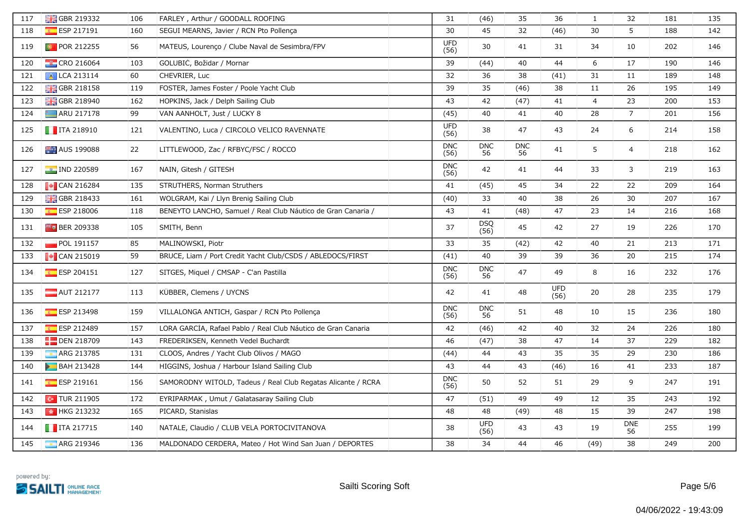| 117 | <b>B</b> GBR 219332                                           | 106 | FARLEY, Arthur / GOODALL ROOFING                              | 31                 | (46)               | 35               | 36                 | $\mathbf{1}$   | 32               | 181 | 135 |
|-----|---------------------------------------------------------------|-----|---------------------------------------------------------------|--------------------|--------------------|------------------|--------------------|----------------|------------------|-----|-----|
| 118 | ESP 217191                                                    | 160 | SEGUI MEARNS, Javier / RCN Pto Pollença                       | 30                 | 45                 | 32               | (46)               | 30             | 5                | 188 | 142 |
| 119 | <b>D</b> POR 212255                                           | 56  | MATEUS, Lourenço / Clube Naval de Sesimbra/FPV                | <b>UFD</b><br>(56) | 30                 | 41               | 31                 | 34             | 10               | 202 | 146 |
| 120 | $\frac{1}{2}$ CRO 216064                                      | 103 | GOLUBIC, Božidar / Mornar                                     | 39                 | (44)               | 40               | 44                 | 6              | $17\,$           | 190 | 146 |
| 121 | A LCA 213114                                                  | 60  | CHEVRIER, Luc                                                 | 32                 | 36                 | 38               | (41)               | 31             | 11               | 189 | 148 |
| 122 | <b>H</b> GBR 218158                                           | 119 | FOSTER, James Foster / Poole Yacht Club                       | 39                 | 35                 | (46)             | 38                 | 11             | 26               | 195 | 149 |
| 123 | <b>H</b> GBR 218940                                           | 162 | HOPKINS, Jack / Delph Sailing Club                            | 43                 | 42                 | (47)             | 41                 | $\overline{4}$ | 23               | 200 | 153 |
| 124 | <b>ARU 217178</b>                                             | 99  | VAN AANHOLT, Just / LUCKY 8                                   | (45)               | 40                 | 41               | 40                 | 28             | $7^{\circ}$      | 201 | 156 |
| 125 | $\blacksquare$ ITA 218910                                     | 121 | VALENTINO, Luca / CIRCOLO VELICO RAVENNATE                    | <b>UFD</b><br>(56) | 38                 | 47               | 43                 | 24             | 6                | 214 | 158 |
| 126 | <b>AUS</b> 199088                                             | 22  | LITTLEWOOD, Zac / RFBYC/FSC / ROCCO                           | <b>DNC</b><br>(56) | <b>DNC</b><br>56   | <b>DNC</b><br>56 | 41                 | 5              | $\overline{a}$   | 218 | 162 |
| 127 | <b>PE IND 220589</b>                                          | 167 | NAIN, Gitesh / GITESH                                         | <b>DNC</b><br>(56) | 42                 | 41               | 44                 | 33             | 3                | 219 | 163 |
| 128 | $\blacksquare$ CAN 216284                                     | 135 | STRUTHERS, Norman Struthers                                   | 41                 | (45)               | 45               | 34                 | 22             | 22               | 209 | 164 |
| 129 | <b>B</b> GBR 218433                                           | 161 | WOLGRAM, Kai / Llyn Brenig Sailing Club                       | (40)               | 33                 | 40               | 38                 | 26             | $30\,$           | 207 | 167 |
| 130 | ESP 218006                                                    | 118 | BENEYTO LANCHO, Samuel / Real Club Náutico de Gran Canaria /  | 43                 | 41                 | (48)             | 47                 | 23             | 14               | 216 | 168 |
| 131 | <b>Fo</b> BER 209338                                          | 105 | SMITH, Benn                                                   | 37                 | <b>DSQ</b><br>(56) | 45               | 42                 | 27             | 19               | 226 | 170 |
| 132 | $\blacksquare$ POL 191157                                     | 85  | MALINOWSKI, Piotr                                             | 33                 | 35                 | (42)             | 42                 | 40             | 21               | 213 | 171 |
| 133 | $\begin{bmatrix} \bullet \\ \bullet \end{bmatrix}$ CAN 215019 | 59  | BRUCE, Liam / Port Credit Yacht Club/CSDS / ABLEDOCS/FIRST    | (41)               | 40                 | 39               | 39                 | 36             | 20               | 215 | 174 |
| 134 | $E = ESP 204151$                                              | 127 | SITGES, Miquel / CMSAP - C'an Pastilla                        | <b>DNC</b><br>(56) | <b>DNC</b><br>56   | 47               | 49                 | 8              | 16               | 232 | 176 |
| 135 | $\blacksquare$ AUT 212177                                     | 113 | KÜBBER, Clemens / UYCNS                                       | 42                 | 41                 | 48               | <b>UFD</b><br>(56) | 20             | 28               | 235 | 179 |
| 136 | $E$ ESP 213498                                                | 159 | VILLALONGA ANTICH, Gaspar / RCN Pto Pollença                  | <b>DNC</b><br>(56) | <b>DNC</b><br>56   | 51               | 48                 | 10             | 15               | 236 | 180 |
| 137 | ESP 212489                                                    | 157 | LORA GARCIA, Rafael Pablo / Real Club Náutico de Gran Canaria | 42                 | (46)               | 42               | 40                 | 32             | 24               | 226 | 180 |
| 138 | <b>DEN 218709</b>                                             | 143 | FREDERIKSEN, Kenneth Vedel Buchardt                           | 46                 | (47)               | 38               | 47                 | 14             | 37               | 229 | 182 |
| 139 | ARG 213785                                                    | 131 | CLOOS, Andres / Yacht Club Olivos / MAGO                      | (44)               | 44                 | 43               | 35                 | 35             | 29               | 230 | 186 |
| 140 | <b>BAH 213428</b>                                             | 144 | HIGGINS, Joshua / Harbour Island Sailing Club                 | 43                 | 44                 | 43               | (46)               | 16             | 41               | 233 | 187 |
| 141 | ESP 219161                                                    | 156 | SAMORODNY WITOLD, Tadeus / Real Club Regatas Alicante / RCRA  | <b>DNC</b><br>(56) | 50                 | 52               | 51                 | 29             | 9                | 247 | 191 |
| 142 | $\boxed{\bullet}$ TUR 211905                                  | 172 | EYRIPARMAK, Umut / Galatasaray Sailing Club                   | 47                 | (51)               | 49               | 49                 | 12             | 35               | 243 | 192 |
| 143 | <b>M</b> HKG 213232                                           | 165 | PICARD, Stanislas                                             | 48                 | 48                 | (49)             | 48                 | 15             | 39               | 247 | 198 |
| 144 | $\blacksquare$ ITA 217715                                     | 140 | NATALE, Claudio / CLUB VELA PORTOCIVITANOVA                   | 38                 | <b>UFD</b><br>(56) | 43               | 43                 | 19             | <b>DNE</b><br>56 | 255 | 199 |
| 145 | ARG 219346                                                    | 136 | MALDONADO CERDERA, Mateo / Hot Wind San Juan / DEPORTES       | 38                 | 34                 | 44               | 46                 | (49)           | 38               | 249 | 200 |